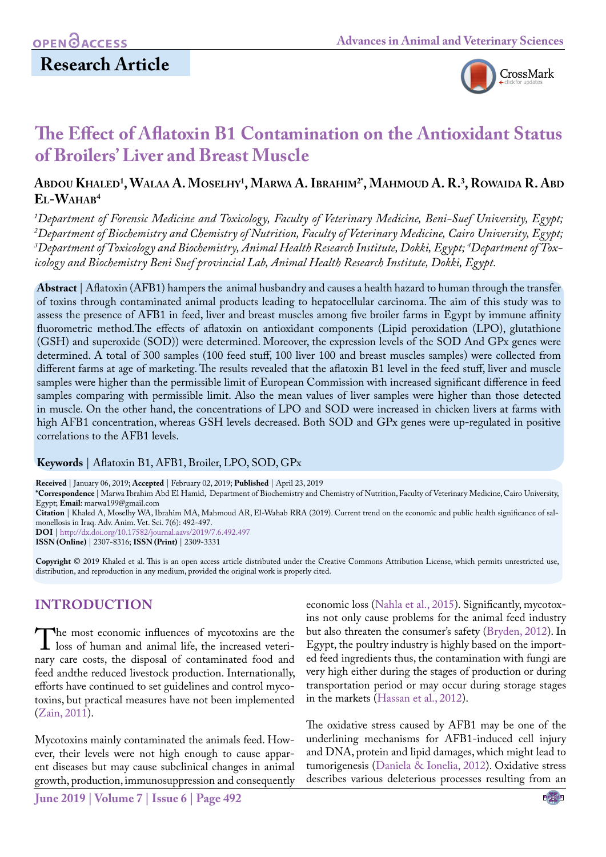

# **The Effect of Aflatoxin B1 Contamination on the Antioxidant Status of Broilers' Liver and Breast Muscle**

## **Abdou Khaled1 , Walaa A. Moselhy1 , Marwa A. Ibrahim2\*, Mahmoud A. R. 3 , Rowaida R. Abd El-Wahab4**

 *Department of Forensic Medicine and Toxicology, Faculty of Veterinary Medicine, Beni-Suef University, Egypt; Department of Biochemistry and Chemistry of Nutrition, Faculty of Veterinary Medicine, Cairo University, Egypt; Department of Toxicology and Biochemistry, Animal Health Research Institute, Dokki, Egypt; 4 Department of Toxicology and Biochemistry Beni Suef provincial Lab, Animal Health Research Institute, Dokki, Egypt.*

**Abstract** | Aflatoxin (AFB1) hampers the animal husbandry and causes a health hazard to human through the transfer of toxins through contaminated animal products leading to hepatocellular carcinoma. The aim of this study was to assess the presence of AFB1 in feed, liver and breast muscles among five broiler farms in Egypt by immune affinity fluorometric method.The effects of aflatoxin on antioxidant components (Lipid peroxidation (LPO), glutathione (GSH) and superoxide (SOD)) were determined. Moreover, the expression levels of the SOD And GPx genes were determined. A total of 300 samples (100 feed stuff, 100 liver 100 and breast muscles samples) were collected from different farms at age of marketing. The results revealed that the aflatoxin B1 level in the feed stuff, liver and muscle samples were higher than the permissible limit of European Commission with increased significant difference in feed samples comparing with permissible limit. Also the mean values of liver samples were higher than those detected in muscle. On the other hand, the concentrations of LPO and SOD were increased in chicken livers at farms with high AFB1 concentration, whereas GSH levels decreased. Both SOD and GPx genes were up-regulated in positive correlations to the AFB1 levels.

#### **Keywords** | Aflatoxin B1, AFB1, Broiler, LPO, SOD, GPx

**Received** | January 06, 2019; **Accepted** | February 02, 2019; **Published** | April 23, 2019 **\*Correspondence** | Marwa Ibrahim Abd El Hamid, Department of Biochemistry and Chemistry of Nutrition, Faculty of Veterinary Medicine, Cairo University, Egypt; **Email**: marwa199@gmail.com **Citation** | Khaled A, Moselhy WA, Ibrahim MA, Mahmoud AR, El-Wahab RRA (2019). Current trend on the economic and public health significance of salmonellosis in Iraq. Adv. Anim. Vet. Sci. 7(6): 492-497. **DOI** | [http://dx.doi.org/10.17582/journal.aavs/2019](http://dx.doi.org/10.17582/journal.aavs/2019/7.6.492.497)/7.6.492.497 **ISSN (Online)** | 2307-8316; **ISSN (Print)** | 2309-3331

**Copyright** © 2019 Khaled et al. This is an open access article distributed under the Creative Commons Attribution License, which permits unrestricted use, distribution, and reproduction in any medium, provided the original work is properly cited.

## **Introduction**

The most economic influences of mycotoxins are the loss of human and animal life, the increased veterinary care costs, the disposal of contaminated food and nary care costs, the disposal of contaminated food and feed andthe reduced livestock production. Internationally, efforts have continued to set guidelines and control mycotoxins, but practical measures have not been implemented ([Zain, 2011\)](#page-5-0).

Mycotoxins mainly contaminated the animals feed. However, their levels were not high enough to cause apparent diseases but may cause subclinical changes in animal growth, production, immunosuppression and consequently

economic loss ([Nahla et al., 2015](#page-4-0)). Significantly, mycotoxins not only cause problems for the animal feed industry but also threaten the consumer's safety [\(Bryden, 2012\)](#page-4-1). In Egypt, the poultry industry is highly based on the imported feed ingredients thus, the contamination with fungi are very high either during the stages of production or during transportation period or may occur during storage stages in the markets ([Hassan et al., 2012\)](#page-4-2).

The oxidative stress caused by AFB1 may be one of the underlining mechanisms for AFB1-induced cell injury and DNA, protein and lipid damages, which might lead to tumorigenesis [\(Daniela & Ionelia, 2012](#page-4-3)). Oxidative stress describes various deleterious processes resulting from an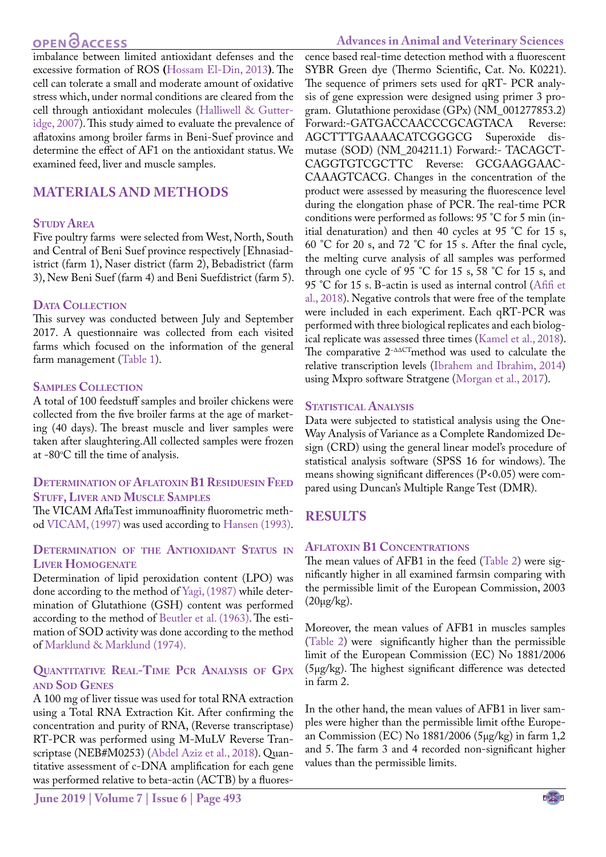## OPEN **OACCESS**

imbalance between limited antioxidant defenses and the excessive formation of ROS **(**[Hossam El-Din, 2013](#page-4-4)**)**. The cell can tolerate a small and moderate amount of oxidative stress which, under normal conditions are cleared from the cell through antioxidant molecules [\(Halliwell & Gutter](#page-4-5)[idge, 2007\)](#page-4-5). This study aimed to evaluate the prevalence of aflatoxins among broiler farms in Beni-Suef province and determine the effect of AF1 on the antioxidant status. We examined feed, liver and muscle samples.

## **Materials and methods**

## **STUDY AREA**

Five poultry farms were selected from West, North, South and Central of Beni Suef province respectively [Ehnasiadistrict (farm 1), Naser district (farm 2), Bebadistrict (farm 3), New Beni Suef (farm 4) and Beni Suefdistrict (farm 5).

### DATA COLLECTION

This survey was conducted between July and September 2017. A questionnaire was collected from each visited farms which focused on the information of the general farm management ([Table 1](#page-2-0)).

### **Samples Collection**

A total of 100 feedstuff samples and broiler chickens were collected from the five broiler farms at the age of marketing (40 days). The breast muscle and liver samples were taken after slaughtering.All collected samples were frozen at -80 $\rm ^{o}C$  till the time of analysis.

#### **Determination of Aflatoxin B1 Residuesin Feed STUFF, LIVER AND MUSCLE SAMPLES**

The VICAM AflaTest immunoaffinity fluorometric method [VICAM, \(1997\)](#page-5-1) was used according to [Hansen \(1993\).](#page-4-6)

#### **Determination of the Antioxidant Status in Liver Homogenate**

Determination of lipid peroxidation content (LPO) was done according to the method of [Yagi, \(1987\)](#page-5-2) while determination of Glutathione (GSH) content was performed according to the method of [Beutler et al. \(1963\).](#page-4-7) The estimation of SOD activity was done according to the method of [Marklund & Marklund \(1974\).](#page-4-8)

## **Quantitative Real-Time Pcr Analysis of Gpx and Sod Genes**

A 100 mg of liver tissue was used for total RNA extraction using a Total RNA Extraction Kit. After confirming the concentration and purity of RNA, (Reverse transcriptase) RT-PCR was performed using M-MuLV Reverse Transcriptase (NEB#M0253) [\(Abdel Aziz et al., 2018](#page-4-9)). Quantitative assessment of c-DNA amplification for each gene was performed relative to beta-actin (ACTB) by a fluores-

**June 2019 | Volume 7 | Issue 6 | Page 493**

### **Advances in Animal and Veterinary Sciences**

cence based real-time detection method with a fluorescent SYBR Green dye (Thermo Scientific, Cat. No. K0221). The sequence of primers sets used for qRT- PCR analysis of gene expression were designed using primer 3 program. Glutathione peroxidase (GPx) (NM\_001277853.2) Forward:-GATGACCAACCCGCAGTACA Reverse: AGCTTTGAAAACATCGGGCG Superoxide dismutase (SOD) (NM\_204211.1) Forward:- TACAGCT-CAGGTGTCGCTTC Reverse: GCGAAGGAAC-CAAAGTCACG. Changes in the concentration of the product were assessed by measuring the fluorescence level during the elongation phase of PCR. The real-time PCR conditions were performed as follows: 95 °C for 5 min (initial denaturation) and then 40 cycles at 95 °C for 15 s, 60 °C for 20 s, and 72 °C for 15 s. After the final cycle, the melting curve analysis of all samples was performed through one cycle of 95 °C for 15 s, 58 °C for 15 s, and 95 °C for 15 s. B-actin is used as internal control [\(Afifi et](#page-4-10)  [al., 2018\)](#page-4-10). Negative controls that were free of the template were included in each experiment. Each qRT-PCR was performed with three biological replicates and each biological replicate was assessed three times [\(Kamel et al., 2018](#page-4-11)). The comparative 2−ΔΔCTmethod was used to calculate the relative transcription levels [\(Ibrahem and Ibrahim, 2014](#page-4-12)) using Mxpro software Stratgene ([Morgan et al., 2017\)](#page-4-13).

#### **STATISTICAL ANALYSIS**

Data were subjected to statistical analysis using the One-Way Analysis of Variance as a Complete Randomized Design (CRD) using the general linear model's procedure of statistical analysis software (SPSS 16 for windows). The means showing significant differences (P<0.05) were compared using Duncan's Multiple Range Test (DMR).

## **Results**

#### **Aflatoxin B1 Concentrations**

The mean values of AFB1 in the feed ([Table 2](#page-2-1)) were significantly higher in all examined farmsin comparing with the permissible limit of the European Commission, 2003  $(20\mu g/kg)$ .

Moreover, the mean values of AFB1 in muscles samples ([Table 2\)](#page-2-1) were significantly higher than the permissible limit of the European Commission (EC) No 1881/2006 (5μg/kg). The highest significant difference was detected in farm 2.

In the other hand, the mean values of AFB1 in liver samples were higher than the permissible limit ofthe European Commission (EC) No 1881/2006 (5μg/kg) in farm 1,2 and 5. The farm 3 and 4 recorded non-significant higher values than the permissible limits.

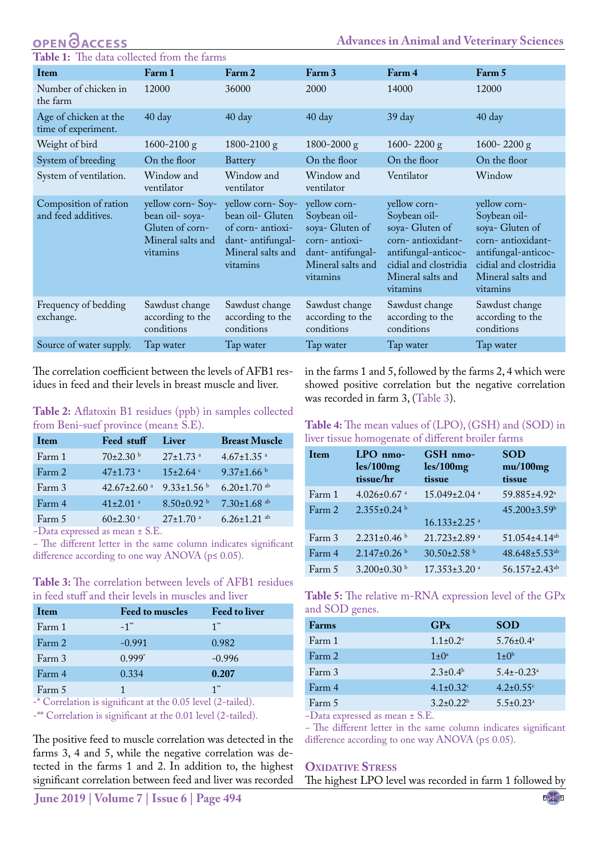#### **ACCESS Advances in Animal and Veterinary Sciences Table 1:** The data collected from the farms

<span id="page-2-0"></span>

| Item                                         | Farm 1                                                                                 | Farm 2                                                                                                        | Farm 3                                                                                                                | Farm 4                                                                                                                                                | Farm 5                                                                                                                                                |  |
|----------------------------------------------|----------------------------------------------------------------------------------------|---------------------------------------------------------------------------------------------------------------|-----------------------------------------------------------------------------------------------------------------------|-------------------------------------------------------------------------------------------------------------------------------------------------------|-------------------------------------------------------------------------------------------------------------------------------------------------------|--|
| Number of chicken in<br>the farm             | 12000                                                                                  | 36000                                                                                                         | 2000                                                                                                                  | 14000                                                                                                                                                 | 12000                                                                                                                                                 |  |
| Age of chicken at the<br>time of experiment. | 40 day                                                                                 | $40 \text{ day}$                                                                                              | 40 day                                                                                                                | $39 \text{ day}$                                                                                                                                      | $40 \text{ day}$                                                                                                                                      |  |
| Weight of bird                               | $1600 - 2100$ g                                                                        | 1800-2100 $g$                                                                                                 | $1800 - 2000$ g                                                                                                       | 1600-2200 $g$                                                                                                                                         | 1600-2200 $g$                                                                                                                                         |  |
| System of breeding                           | On the floor                                                                           | Battery                                                                                                       | On the floor                                                                                                          | On the floor                                                                                                                                          | On the floor                                                                                                                                          |  |
| System of ventilation.                       | Window and<br>ventilator                                                               | Window and<br>ventilator                                                                                      | Window and<br>ventilator                                                                                              | Ventilator                                                                                                                                            | Window                                                                                                                                                |  |
| Composition of ration<br>and feed additives. | yellow corn-Soy-<br>bean oil-soya-<br>Gluten of corn-<br>Mineral salts and<br>vitamins | yellow corn-Soy-<br>bean oil- Gluten<br>of corn-antioxi-<br>dant-antifungal-<br>Mineral salts and<br>vitamins | yellow corn-<br>Soybean oil-<br>soya- Gluten of<br>corn-antioxi-<br>dant-antifungal-<br>Mineral salts and<br>vitamins | yellow corn-<br>Soybean oil-<br>soya- Gluten of<br>corn-antioxidant-<br>antifungal-anticoc-<br>cidial and clostridia<br>Mineral salts and<br>vitamins | yellow corn-<br>Soybean oil-<br>soya- Gluten of<br>corn-antioxidant-<br>antifungal-anticoc-<br>cidial and clostridia<br>Mineral salts and<br>vitamins |  |
| Frequency of bedding<br>exchange.            | Sawdust change<br>according to the<br>conditions                                       | Sawdust change<br>according to the<br>conditions                                                              | Sawdust change<br>according to the<br>conditions                                                                      | Sawdust change<br>according to the<br>conditions                                                                                                      | Sawdust change<br>according to the<br>conditions                                                                                                      |  |
| Source of water supply.                      | Tap water                                                                              | Tap water                                                                                                     | Tap water                                                                                                             | Tap water                                                                                                                                             | Tap water                                                                                                                                             |  |
|                                              |                                                                                        |                                                                                                               |                                                                                                                       |                                                                                                                                                       |                                                                                                                                                       |  |

The correlation coefficient between the levels of AFB1 residues in feed and their levels in breast muscle and liver.

<span id="page-2-1"></span>**Table 2:** Aflatoxin B1 residues (ppb) in samples collected from Beni-suef province (mean± S.E).

| Item   | Feed stuff                                 | Liver                      | <b>Breast Muscle</b>          |
|--------|--------------------------------------------|----------------------------|-------------------------------|
| Farm 1 | $70\pm2.30$ b                              | $27 \pm 1.73$ <sup>a</sup> | $4.67 \pm 1.35$ <sup>a</sup>  |
| Farm 2 | $47+1.73$ <sup>a</sup>                     | $15 \pm 2.64$              | $9.37 \pm 1.66$ b             |
| Farm 3 | 42.67±2.60 $a$                             | $9.33 \pm 1.56$            | $6.20 \pm 1.70$ ab            |
| Farm 4 | $41\pm2.01$ <sup>a</sup>                   | $8.50\pm0.92$ <sup>b</sup> | $7.30 \pm 1.68$ <sup>ab</sup> |
| Farm 5 | $60\pm2.30$ c                              | $27 \pm 1.70$ <sup>a</sup> | $6.26 \pm 1.21$ <sup>ab</sup> |
|        | Data grovesed as mosn $\pm$ $\mathbb{C}$ F |                            |                               |

−Data expressed as mean ± S.E.

− The different letter in the same column indicates significant difference according to one way ANOVA ( $p \le 0.05$ ).

<span id="page-2-2"></span>**Table 3:** The correlation between levels of AFB1 residues in feed stuff and their levels in muscles and liver

| Item   | <b>Feed to muscles</b> | <b>Feed to liver</b> |
|--------|------------------------|----------------------|
| Farm 1 | $-1$ <sup>**</sup>     | $1^{\ast}$           |
| Farm 2 | $-0.991$               | 0.982                |
| Farm 3 | $0.999*$               | $-0.996$             |
| Farm 4 | 0.334                  | 0.207                |
| Farm 5 |                        | $1^{**}$             |

-\* Correlation is significant at the 0.05 level (2-tailed).

-\*\* Correlation is significant at the 0.01 level (2-tailed).

The positive feed to muscle correlation was detected in the farms 3, 4 and 5, while the negative correlation was detected in the farms 1 and 2. In addition to, the highest significant correlation between feed and liver was recorded

in the farms 1 and 5, followed by the farms 2, 4 which were showed positive correlation but the negative correlation was recorded in farm 3, ([Table 3\)](#page-2-2).

#### <span id="page-2-3"></span>**Table 4:** The mean values of (LPO), (GSH) and (SOD) in liver tissue homogenate of different broiler farms

| Item   | $LPO$ nmo-<br>les/100mg<br>tissue/hr | GSH nmo-<br>les/100mg<br>tissue | <b>SOD</b><br>mu/100mg<br>tissue |
|--------|--------------------------------------|---------------------------------|----------------------------------|
| Farm 1 | $4.026 \pm 0.67$ <sup>a</sup>        | $15.049 \pm 2.04$ <sup>a</sup>  | 59.885±4.92 <sup>a</sup>         |
| Farm 2 | $2.355 \pm 0.24$ b                   | $16.133 \pm 2.25$ <sup>a</sup>  | 45.200±3.59b                     |
| Farm 3 | $2.231+0.46b$                        | $21.723 \pm 2.89$ <sup>a</sup>  | $51.054 \pm 4.14$ <sup>ab</sup>  |
| Farm 4 | $2.147\pm0.26$ b                     | 30.50±2.58 b                    | $48.648 \pm 5.53^{ab}$           |
| Farm 5 | $3.200 \pm 0.30$ b                   | $17.353 \pm 3.20$ <sup>a</sup>  | 56.157±2.43 <sup>ab</sup>        |

<span id="page-2-4"></span>

| Table 5: The relative m-RNA expression level of the GPx |  |  |  |
|---------------------------------------------------------|--|--|--|
| and SOD genes.                                          |  |  |  |

| Farms        | GP <sub>x</sub>             | <b>SOD</b>                  |
|--------------|-----------------------------|-----------------------------|
| Farm 1       | $1.1 \pm 0.2^{\text{a}}$    | $5.76 \pm 0.4^{\circ}$      |
| Farm 2       | $1 \pm 0^a$                 | $1\pm 0^b$                  |
| Farm 3       | $2.3 \pm 0.4^b$             | $5.4\pm -0.23$ <sup>a</sup> |
| Farm 4       | $4.1 \pm 0.32$ <sup>c</sup> | $4.2 \pm 0.55$ <sup>c</sup> |
| Farm 5       | $3.2 \pm 0.22^b$            | $5.5 \pm 0.23$ <sup>a</sup> |
| $\mathbf{r}$ | $\cap$ $\overline{\ }$      |                             |

−Data expressed as mean ± S.E.

− The different letter in the same column indicates significant difference according to one way ANOVA (p≤ 0.05).

#### **OXIDATIVE STRESS**

The highest LPO level was recorded in farm 1 followed by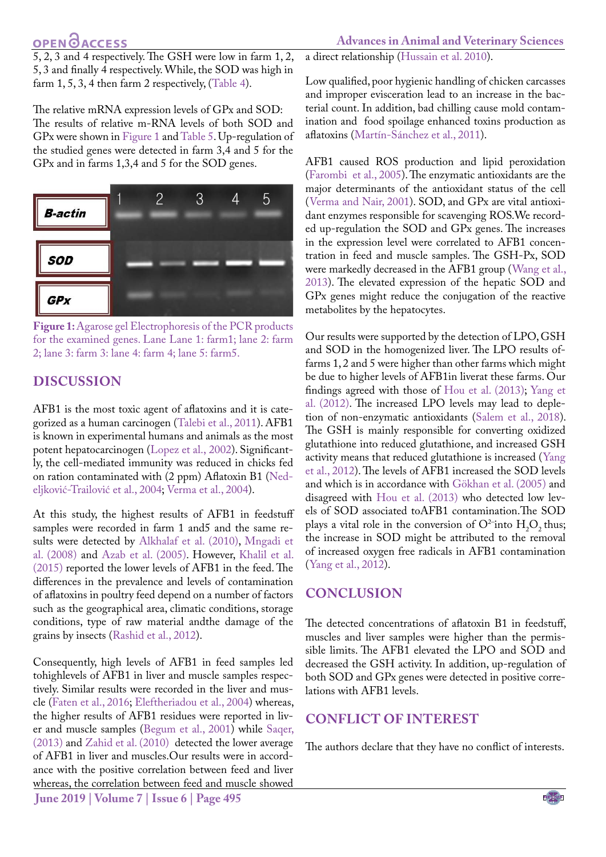## **OPEN GACCESS**

**Advances in Animal and Veterinary Sciences**

5, 2, 3 and 4 respectively. The GSH were low in farm 1, 2, 5, 3 and finally 4 respectively. While, the SOD was high in farm 1, 5, 3, 4 then farm 2 respectively, [\(Table 4](#page-2-3)).

The relative mRNA expression levels of GPx and SOD: The results of relative m-RNA levels of both SOD and GPx were shown in [Figure 1](#page-3-0) and [Table 5.](#page-2-4) Up-regulation of the studied genes were detected in farm 3,4 and 5 for the GPx and in farms 1,3,4 and 5 for the SOD genes.



<span id="page-3-0"></span>**Figure 1:** Agarose gel Electrophoresis of the PCR products for the examined genes. Lane Lane 1: farm1; lane 2: farm 2; lane 3: farm 3: lane 4: farm 4; lane 5: farm5.

## **Discussion**

AFB1 is the most toxic agent of aflatoxins and it is categorized as a human carcinogen [\(Talebi et al., 2011](#page-5-3)). AFB1 is known in experimental humans and animals as the most potent hepatocarcinogen ([Lopez et al., 2002](#page-4-14)). Significantly, the cell-mediated immunity was reduced in chicks fed on ration contaminated with (2 ppm) Aflatoxin B1 ([Ned](#page-5-4)[eljković-Trailović et al., 2004;](#page-5-4) [Verma et al., 2004\)](#page-5-5).

At this study, the highest results of AFB1 in feedstuff samples were recorded in farm 1 and5 and the same results were detected by [Alkhalaf et al. \(2010\)](#page-4-15), [Mngadi et](#page-4-16) [al. \(2008\)](#page-4-16) and [Azab et al. \(2005\)](#page-4-17). However, [Khalil et al.](#page-4-18) [\(2015\)](#page-4-18) reported the lower levels of AFB1 in the feed. The differences in the prevalence and levels of contamination of aflatoxins in poultry feed depend on a number of factors such as the geographical area, climatic conditions, storage conditions, type of raw material andthe damage of the grains by insects ([Rashid et al., 2012](#page-5-6)).

Consequently, high levels of AFB1 in feed samples led tohighlevels of AFB1 in liver and muscle samples respectively. Similar results were recorded in the liver and muscle [\(Faten et al., 2016](#page-4-19); [Eleftheriadou et al., 2004\)](#page-4-20) whereas, the higher results of AFB1 residues were reported in liver and muscle samples [\(Begum et al., 2001\)](#page-4-21) while [Saqer,](#page-5-7) [\(2013\)](#page-5-7) and [Zahid et al. \(2010\)](#page-5-8) detected the lower average of AFB1 in liver and muscles.Our results were in accordance with the positive correlation between feed and liver whereas, the correlation between feed and muscle showed

a direct relationship ([Hussain et al. 2010](#page-4-22)).

Low qualified, poor hygienic handling of chicken carcasses and improper evisceration lead to an increase in the bacterial count. In addition, bad chilling cause mold contamination and food spoilage enhanced toxins production as aflatoxins (Martín-Sánchez et al., 2011).

AFB1 caused ROS production and lipid peroxidation ([Farombi et al., 2005](#page-4-23)). The enzymatic antioxidants are the major determinants of the antioxidant status of the cell ([Verma and Nair, 2001](#page-5-9)). SOD, and GPx are vital antioxidant enzymes responsible for scavenging ROS.We recorded up-regulation the SOD and GPx genes. The increases in the expression level were correlated to AFB1 concentration in feed and muscle samples. The GSH-Px, SOD were markedly decreased in the AFB1 group ([Wang et al.,](#page-5-10)  [2013](#page-5-10)). The elevated expression of the hepatic SOD and GPx genes might reduce the conjugation of the reactive metabolites by the hepatocytes.

Our results were supported by the detection of LPO, GSH and SOD in the homogenized liver. The LPO results offarms 1, 2 and 5 were higher than other farms which might be due to higher levels of AFB1in liverat these farms. Our findings agreed with those of [Hou et al. \(2013\)](#page-4-24); [Yang et](#page-5-11)  [al. \(2012\)](#page-5-11). The increased LPO levels may lead to depletion of non-enzymatic antioxidants ([Salem et al., 2018](#page-5-12)). The GSH is mainly responsible for converting oxidized glutathione into reduced glutathione, and increased GSH activity means that reduced glutathione is increased ([Yang](#page-5-11)  [et al., 2012](#page-5-11)). The levels of AFB1 increased the SOD levels and which is in accordance with Gökhan et al. (2005) and disagreed with [Hou et al. \(2013\)](#page-4-24) who detected low levels of SOD associated toAFB1 contamination.The SOD plays a vital role in the conversion of  $O^{2}$ -into  $H_2O_2$  thus; the increase in SOD might be attributed to the removal of increased oxygen free radicals in AFB1 contamination ([Yang et al., 2012](#page-5-11)).

## **Conclusion**

The detected concentrations of aflatoxin B1 in feedstuff, muscles and liver samples were higher than the permissible limits. The AFB1 elevated the LPO and SOD and decreased the GSH activity. In addition, up-regulation of both SOD and GPx genes were detected in positive correlations with AFB1 levels.

## **Conflict of interest**

The authors declare that they have no conflict of interests.

**June 2019 | Volume 7 | Issue 6 | Page 495**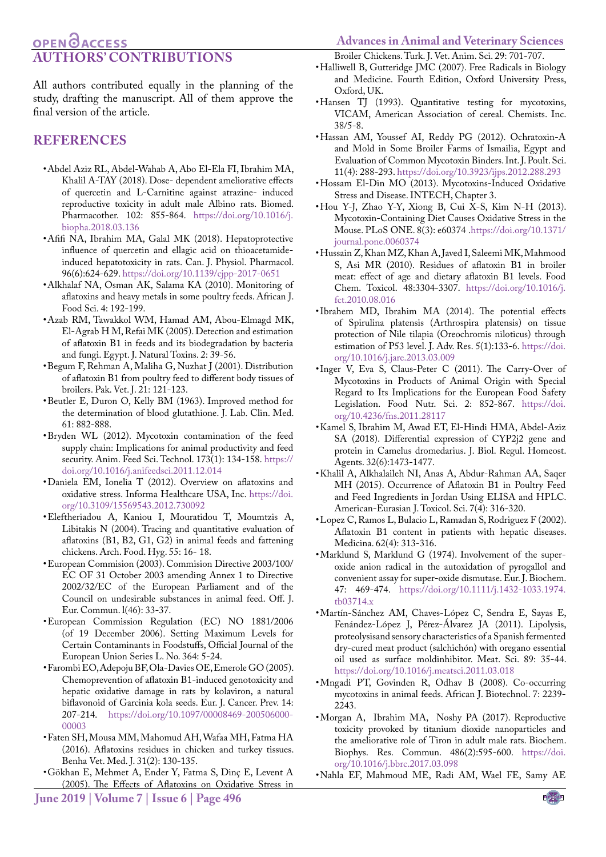## **OPENOACCESS Authors' contributions**

<span id="page-4-5"></span>Broiler Chickens. Turk. J. Vet. Anim. Sci. 29: 701-707.

All authors contributed equally in the planning of the study, drafting the manuscript. All of them approve the final version of the article.

## **References**

- <span id="page-4-9"></span>• Abdel Aziz RL, Abdel-Wahab A, Abo El-Ela FI, Ibrahim MA, Khalil A-TAY (2018). Dose- dependent ameliorative effects of quercetin and L-Carnitine against atrazine- induced reproductive toxicity in adult male Albino rats. Biomed. Pharmacother. 102: 855-864. [https://doi.org/10.1016/j.]( https://doi.org/10.1016/j.biopha.2018.03.136 ) [biopha.2018.03.136]( https://doi.org/10.1016/j.biopha.2018.03.136 )
- <span id="page-4-10"></span>• Afifi NA, Ibrahim MA, Galal MK (2018). Hepatoprotective influence of quercetin and ellagic acid on thioacetamideinduced hepatotoxicity in rats. Can. J. Physiol. Pharmacol. 96(6):624-629. [https://doi.org/10.1139/cjpp-2017-0651](https://doi.org/10.1139/cjpp-2017-0651 )
- <span id="page-4-15"></span>• Alkhalaf NA, Osman AK, Salama KA (2010). Monitoring of aflatoxins and heavy metals in some poultry feeds. African J. Food Sci. 4: 192-199.
- <span id="page-4-17"></span>• Azab RM, Tawakkol WM, Hamad AM, Abou-Elmagd MK, El-Agrab H M, Refai MK (2005). Detection and estimation of aflatoxin B1 in feeds and its biodegradation by bacteria and fungi. Egypt. J. Natural Toxins. 2: 39-56.
- <span id="page-4-21"></span>• Begum F, Rehman A, Maliha G, Nuzhat J (2001). Distribution of aflatoxin B1 from poultry feed to different body tissues of broilers. Pak. Vet. J. 21: 121-123.
- <span id="page-4-7"></span>• Beutler E, Duron O, Kelly BM (1963). Improved method for the determination of blood glutathione. J. Lab. Clin. Med. 61: 882-888.
- <span id="page-4-1"></span>• Bryden WL (2012). Mycotoxin contamination of the feed supply chain: Implications for animal productivity and feed security. Anim. Feed Sci. Technol. 173(1): 134-158. [https://](https://doi.org/10.1016/j.anifeedsci.2011.12.014 ) [doi.org/10.1016/j.anifeedsci.2011.12.014](https://doi.org/10.1016/j.anifeedsci.2011.12.014 )
- <span id="page-4-3"></span>• Daniela EM, Ionelia T (2012). Overview on aflatoxins and oxidative stress. Informa Healthcare USA, Inc. [https://doi.](https://doi.org/10.3109/15569543.2012.730092 ) [org/10.3109/15569543.2012.730092](https://doi.org/10.3109/15569543.2012.730092 )
- <span id="page-4-20"></span>• Eleftheriadou A, Kaniou I, Mouratidou T, Moumtzis A, Libitakis N (2004). Tracing and quantitative evaluation of aflatoxins (B1, B2, G1, G2) in animal feeds and fattening chickens. Arch. Food. Hyg. 55: 16- 18.
- • European Commision (2003). Commision Directive 2003/100/ EC OF 31 October 2003 amending Annex 1 to Directive 2002/32/EC of the European Parliament and of the Council on undesirable substances in animal feed. Off. J. Eur. Commun. l(46): 33-37.
- • European Commission Regulation (EC) NO 1881/2006 (of 19 December 2006). Setting Maximum Levels for Certain Contaminants in Foodstuffs, Official Journal of the European Union Series L. No. 364: 5-24.
- <span id="page-4-23"></span>• Farombi EO, Adepoju BF, Ola-Davies OE, Emerole GO (2005). Chemoprevention of aflatoxin B1-induced genotoxicity and hepatic oxidative damage in rats by kolaviron, a natural biflavonoid of Garcinia kola seeds. Eur. J. Cancer. Prev. 14: 207-214. [https://doi.org/10.1097/00008469-200506000-](https://doi.org/10.1097/00008469-200506000-00003 ) [00003](https://doi.org/10.1097/00008469-200506000-00003 )
- <span id="page-4-19"></span>• Faten SH, Mousa MM, Mahomud AH, Wafaa MH, Fatma HA (2016). Aflatoxins residues in chicken and turkey tissues. Benha Vet. Med. J. 31(2): 130-135.
- • Gökhan E, Mehmet A, Ender Y, Fatma S, Dinç E, Levent A (2005). The Effects of Aflatoxins on Oxidative Stress in
- Halliwell B, Gutteridge JMC (2007). Free Radicals in Biology and Medicine. Fourth Edition, Oxford University Press, Oxford, UK.
- <span id="page-4-6"></span>• Hansen TJ (1993). Quantitative testing for mycotoxins, VICAM, American Association of cereal. Chemists. Inc. 38/5-8.
- <span id="page-4-2"></span>• Hassan AM, Youssef AI, Reddy PG (2012). Ochratoxin-A and Mold in Some Broiler Farms of Ismailia, Egypt and Evaluation of Common Mycotoxin Binders. Int. J. Poult. Sci. 11(4): 288-293.<https://doi.org/10.3923/ijps.2012.288.293>
- <span id="page-4-4"></span>• Hossam El-Din MO (2013). Mycotoxins-Induced Oxidative Stress and Disease. INTECH, Chapter 3.
- <span id="page-4-24"></span>• Hou Y-J, Zhao Y-Y, Xiong B, Cui X-S, Kim N-H (2013). Mycotoxin-Containing Diet Causes Oxidative Stress in the Mouse. PLoS ONE. 8(3): e60374 [.https://doi.org/10.1371/](https://doi.org/10.1371/journal.pone.0060374 ) [journal.pone.0060374](https://doi.org/10.1371/journal.pone.0060374 )
- <span id="page-4-22"></span>• Hussain Z, Khan MZ, Khan A, Javed I, Saleemi MK, Mahmood S, Asi MR (2010). Residues of aflatoxin B1 in broiler meat: effect of age and dietary aflatoxin B1 levels. Food Chem. Toxicol. 48:3304-3307[. https://doi.org/10.1016/j.]( https://doi.org/10.1016/j.fct.2010.08.016 ) [fct.2010.08.016]( https://doi.org/10.1016/j.fct.2010.08.016 )
- <span id="page-4-12"></span>•Ibrahem MD, Ibrahim MA (2014). The potential effects of Spirulina platensis (Arthrospira platensis) on tissue protection of Nile tilapia (Oreochromis niloticus) through estimation of P53 level. J. Adv. Res. 5(1):133-6[. https://doi.]( https://doi.org/10.1016/j.jare.2013.03.009 ) [org/10.1016/j.jare.2013.03.009]( https://doi.org/10.1016/j.jare.2013.03.009 )
- • Inger V, Eva S, Claus-Peter C (2011). The Carry-Over of Mycotoxins in Products of Animal Origin with Special Regard to Its Implications for the European Food Safety Legislation. Food Nutr. Sci. 2: 852-867. [https://doi.](https://doi.org/10.4236/fns.2011.28117 ) [org/10.4236/fns.2011.28117](https://doi.org/10.4236/fns.2011.28117 )
- <span id="page-4-11"></span>• Kamel S, Ibrahim M, Awad ET, El-Hindi HMA, Abdel-Aziz SA (2018). Differential expression of CYP2j2 gene and protein in Camelus dromedarius. J. Biol. Regul. Homeost. Agents. 32(6):1473-1477.
- <span id="page-4-18"></span>• Khalil A, Alkhalaileh NI, Anas A, Abdur-Rahman AA, Saqer MH (2015). Occurrence of Aflatoxin B1 in Poultry Feed and Feed Ingredients in Jordan Using ELISA and HPLC. American-Eurasian J. Toxicol. Sci. 7(4): 316-320.
- <span id="page-4-14"></span>• Lopez C, Ramos L, Bulacio L, Ramadan S, Rodriguez F (2002). Aflatoxin B1 content in patients with hepatic diseases. Medicina. 62(4): 313-316.
- <span id="page-4-8"></span>• Marklund S, Marklund G (1974). Involvement of the superoxide anion radical in the autoxidation of pyrogallol and convenient assay for super-oxide dismutase. Eur. J. Biochem. 47: 469-474. [https://doi.org/10.1111/j.1432-1033.1974.](https://doi.org/10.1111/j.1432-1033.1974.tb03714.x ) [tb03714.x](https://doi.org/10.1111/j.1432-1033.1974.tb03714.x )
- • Martín-Sánchez AM, Chaves-López C, Sendra E, Sayas E, Fenández-López J, Pérez-Álvarez JA (2011). Lipolysis, proteolysisand sensory characteristics of a Spanish fermented dry-cured meat product (salchichón) with oregano essential oil used as surface moldinhibitor. Meat. Sci. 89: 35-44. [https://doi.org/10.1016/j.meatsci.2011.03.018](https://doi.org/10.1016/j.meatsci.2011.03.018 )
- <span id="page-4-16"></span>• Mngadi PT, Govinden R, Odhav B (2008). Co-occurring mycotoxins in animal feeds. African J. Biotechnol. 7: 2239- 2243.
- <span id="page-4-13"></span>• Morgan A, Ibrahim MA, Noshy PA (2017). Reproductive toxicity provoked by titanium dioxide nanoparticles and the ameliorative role of Tiron in adult male rats. Biochem. Biophys. Res. Commun. 486(2):595-600. [https://doi.](https://doi.org/10.1016/j.bbrc.2017.03.098 ) [org/10.1016/j.bbrc.2017.03.098](https://doi.org/10.1016/j.bbrc.2017.03.098 )
- <span id="page-4-0"></span>• Nahla EF, Mahmoud ME, Radi AM, Wael FE, Samy AE